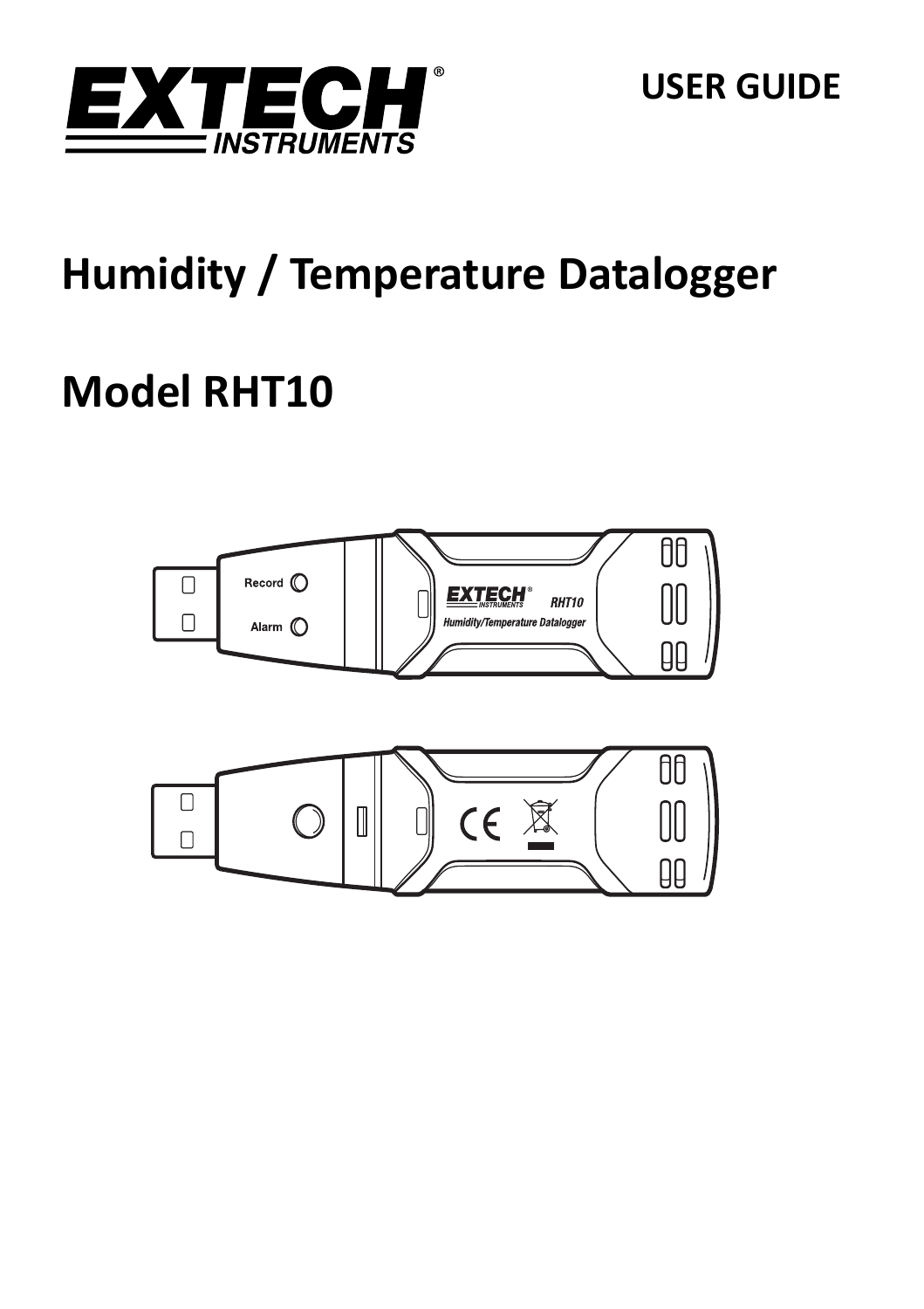

**USER GUIDE**

# **Humidity / Temperature Datalogger**

# **Model RHT10**

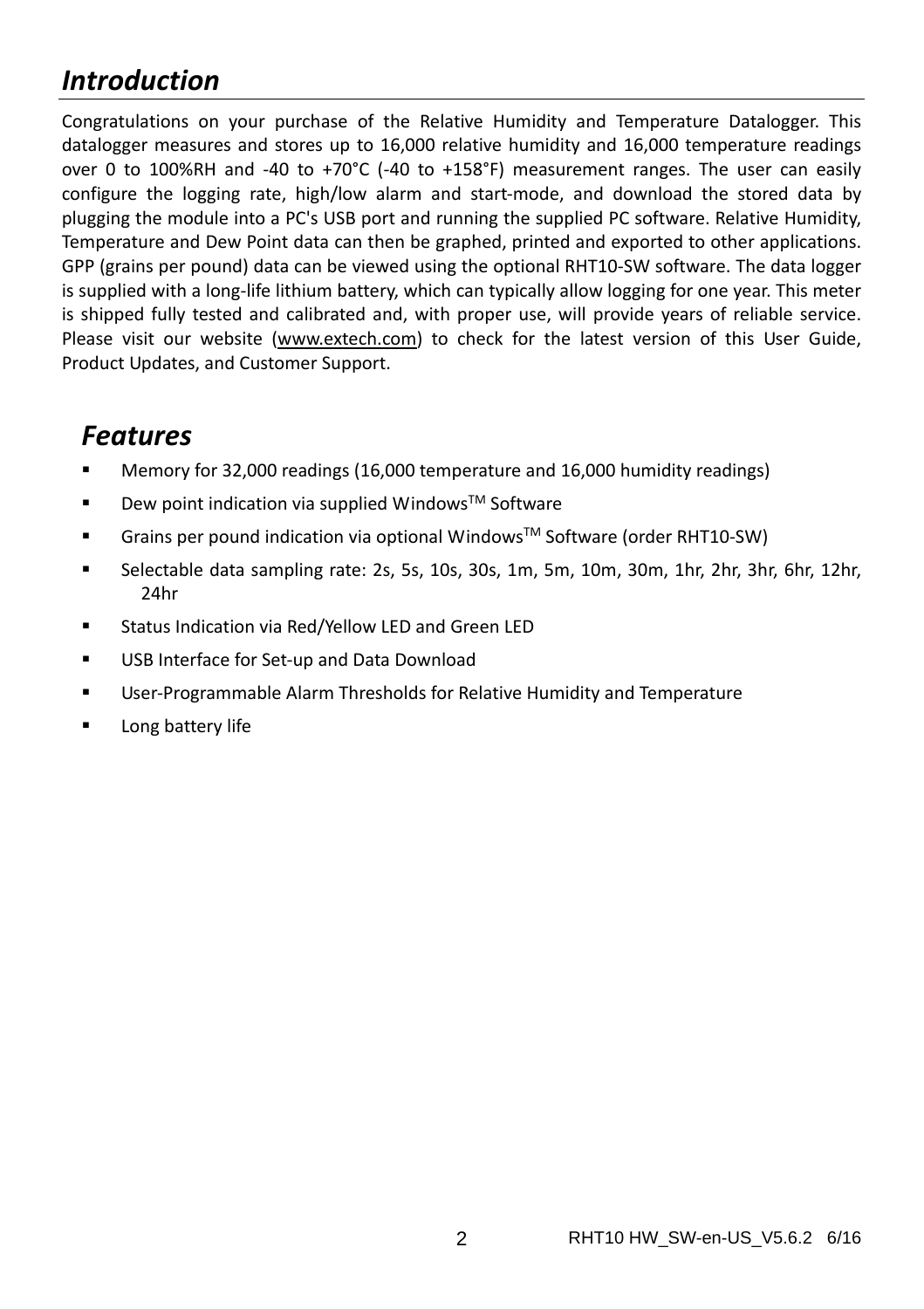## *Introduction*

Congratulations on your purchase of the Relative Humidity and Temperature Datalogger. This datalogger measures and stores up to 16,000 relative humidity and 16,000 temperature readings over 0 to 100%RH and ‐40 to +70°C (‐40 to +158°F) measurement ranges. The user can easily configure the logging rate, high/low alarm and start‐mode, and download the stored data by plugging the module into a PC's USB port and running the supplied PC software. Relative Humidity, Temperature and Dew Point data can then be graphed, printed and exported to other applications. GPP (grains per pound) data can be viewed using the optional RHT10‐SW software. The data logger is supplied with a long‐life lithium battery, which can typically allow logging for one year. This meter is shipped fully tested and calibrated and, with proper use, will provide years of reliable service. Please visit our website (www.extech.com) to check for the latest version of this User Guide, Product Updates, and Customer Support.

# *Features*

- Memory for 32,000 readings (16,000 temperature and 16,000 humidity readings)
- $\blacksquare$  Dew point indication via supplied Windows<sup>TM</sup> Software
- Grains per pound indication via optional Windows™ Software (order RHT10-SW)
- Selectable data sampling rate: 2s, 5s, 10s, 30s, 1m, 5m, 10m, 30m, 1hr, 2hr, 3hr, 6hr, 12hr, 24hr
- Status Indication via Red/Yellow LED and Green LED
- USB Interface for Set‐up and Data Download
- User-Programmable Alarm Thresholds for Relative Humidity and Temperature
- **Long battery life**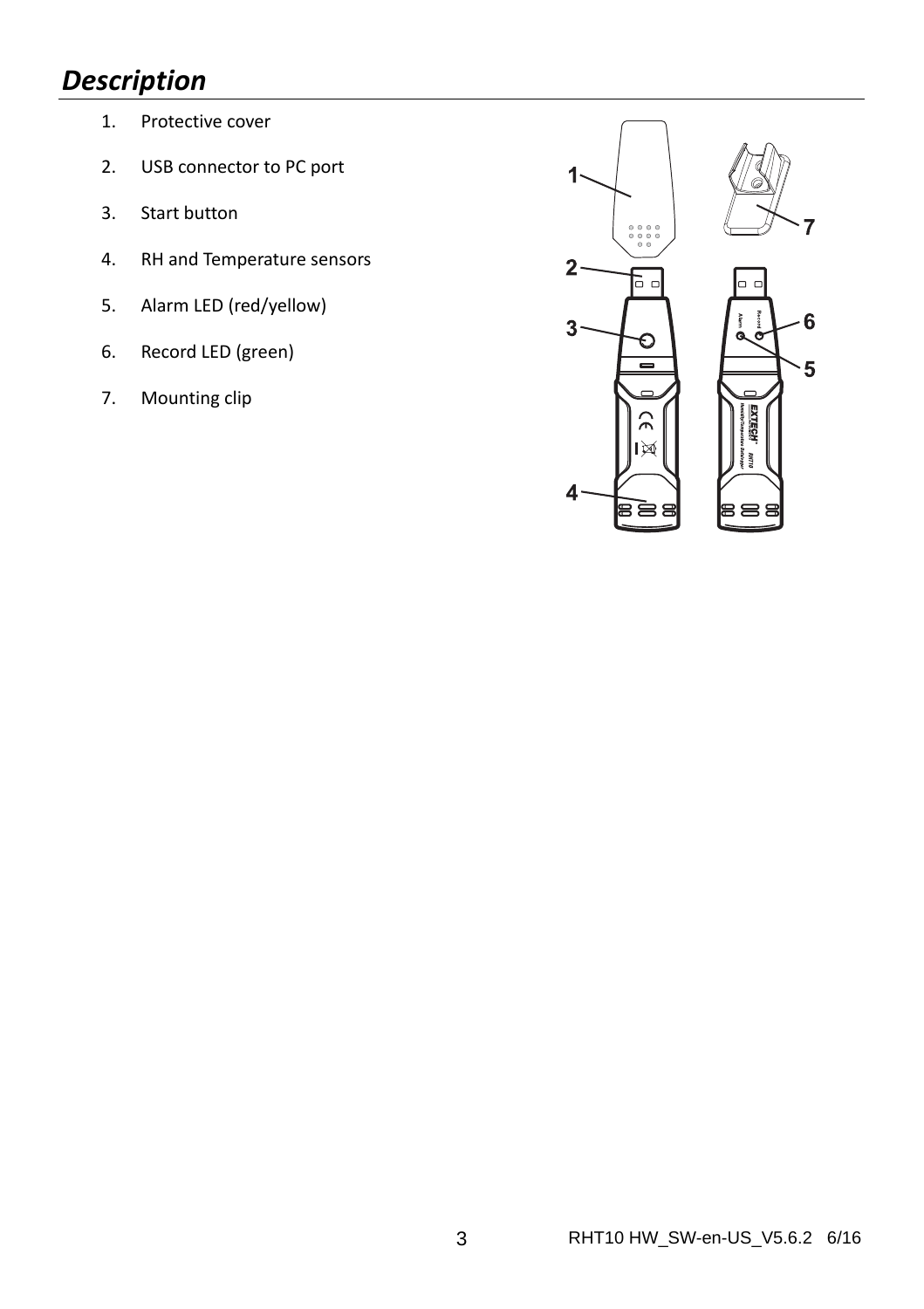## *Description*

- 1. Protective cover
- 2. USB connector to PC port
- 3. Start button
- 4. RH and Temperature sensors
- 5. Alarm LED (red/yellow)
- 6. Record LED (green)
- 7. Mounting clip

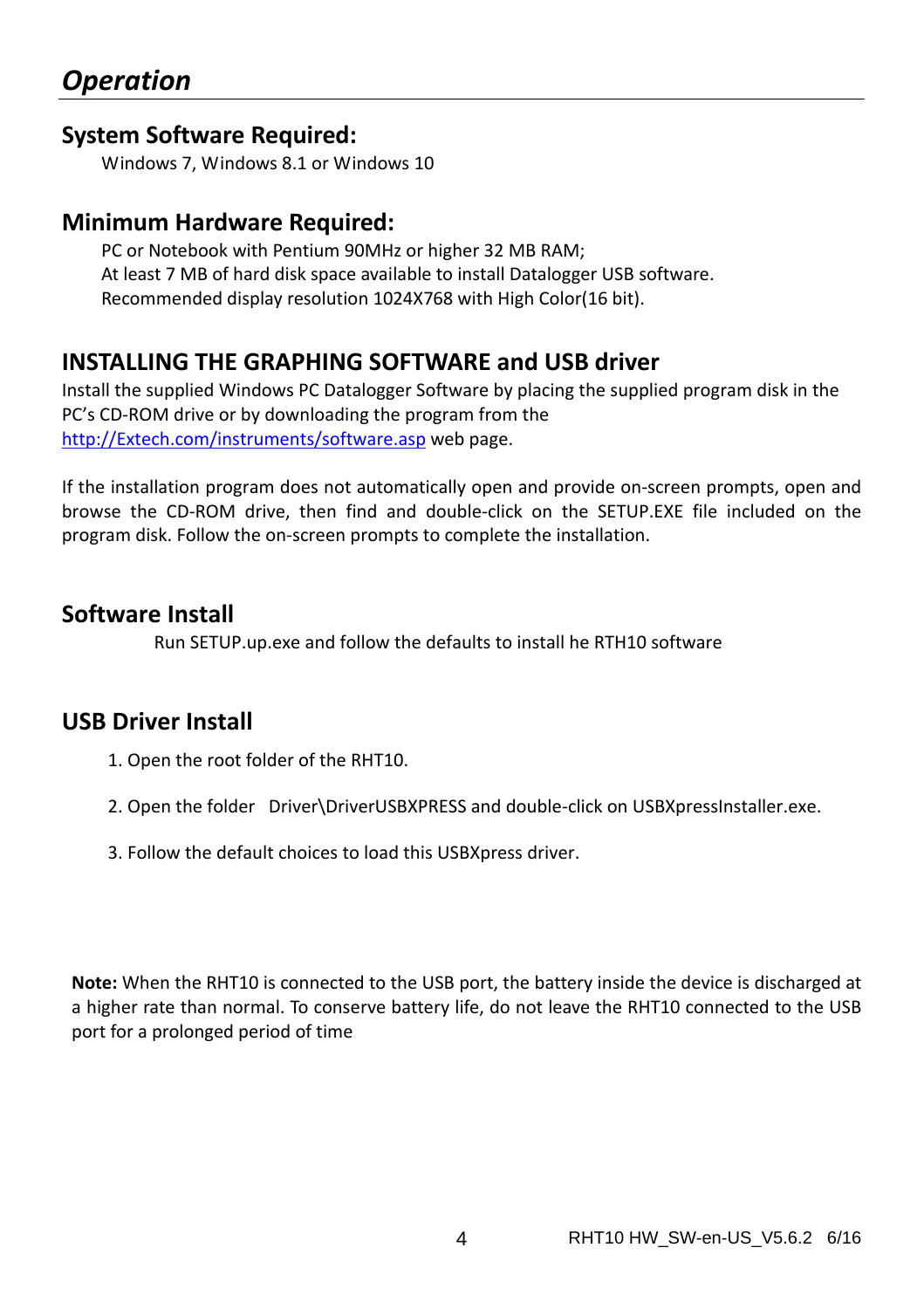#### **System Software Required:**

Windows 7, Windows 8.1 or Windows 10

#### **Minimum Hardware Required:**

PC or Notebook with Pentium 90MHz or higher 32 MB RAM; At least 7 MB of hard disk space available to install Datalogger USB software. Recommended display resolution 1024X768 with High Color(16 bit).

#### **INSTALLING THE GRAPHING SOFTWARE and USB driver**

Install the supplied Windows PC Datalogger Software by placing the supplied program disk in the PC's CD‐ROM drive or by downloading the program from the http://Extech.com/instruments/software.asp web page.

If the installation program does not automatically open and provide on‐screen prompts, open and browse the CD‐ROM drive, then find and double‐click on the SETUP.EXE file included on the program disk. Follow the on‐screen prompts to complete the installation.

#### **Software Install**

Run SETUP.up.exe and follow the defaults to install he RTH10 software

#### **USB Driver Install**

- 1. Open the root folder of the RHT10.
- 2. Open the folder Driver\DriverUSBXPRESS and double-click on USBXpressInstaller.exe.
- 3. Follow the default choices to load this USBXpress driver.

**Note:** When the RHT10 is connected to the USB port, the battery inside the device is discharged at a higher rate than normal. To conserve battery life, do not leave the RHT10 connected to the USB port for a prolonged period of time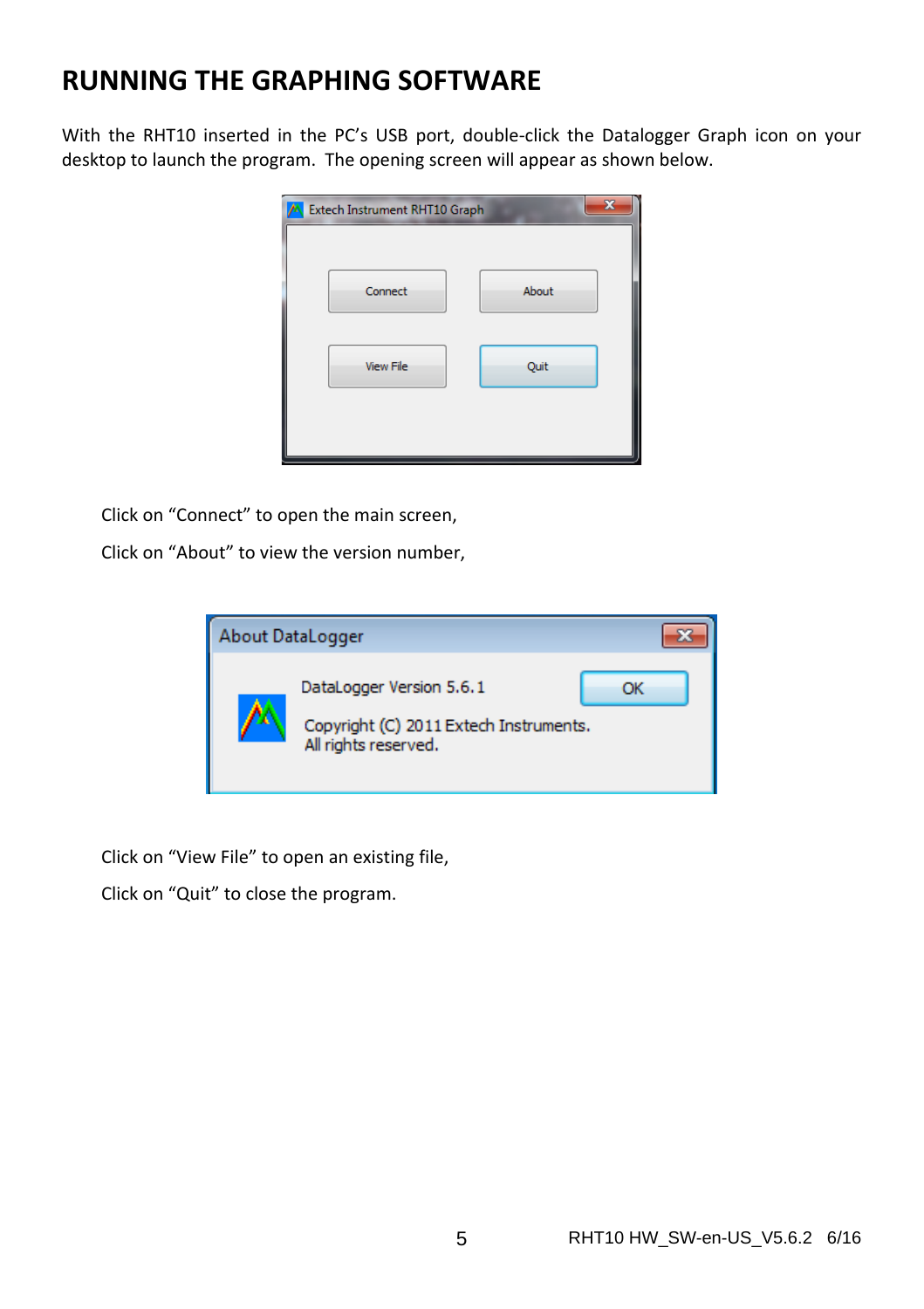## **RUNNING THE GRAPHING SOFTWARE**

With the RHT10 inserted in the PC's USB port, double-click the Datalogger Graph icon on your desktop to launch the program. The opening screen will appear as shown below.

| A Extech Instrument RHT10 Graph |       |
|---------------------------------|-------|
| Connect                         | About |
| <b>View File</b>                | Quit  |
|                                 |       |

Click on "Connect" to open the main screen,

Click on "About" to view the version number,



Click on "View File" to open an existing file,

Click on "Quit" to close the program.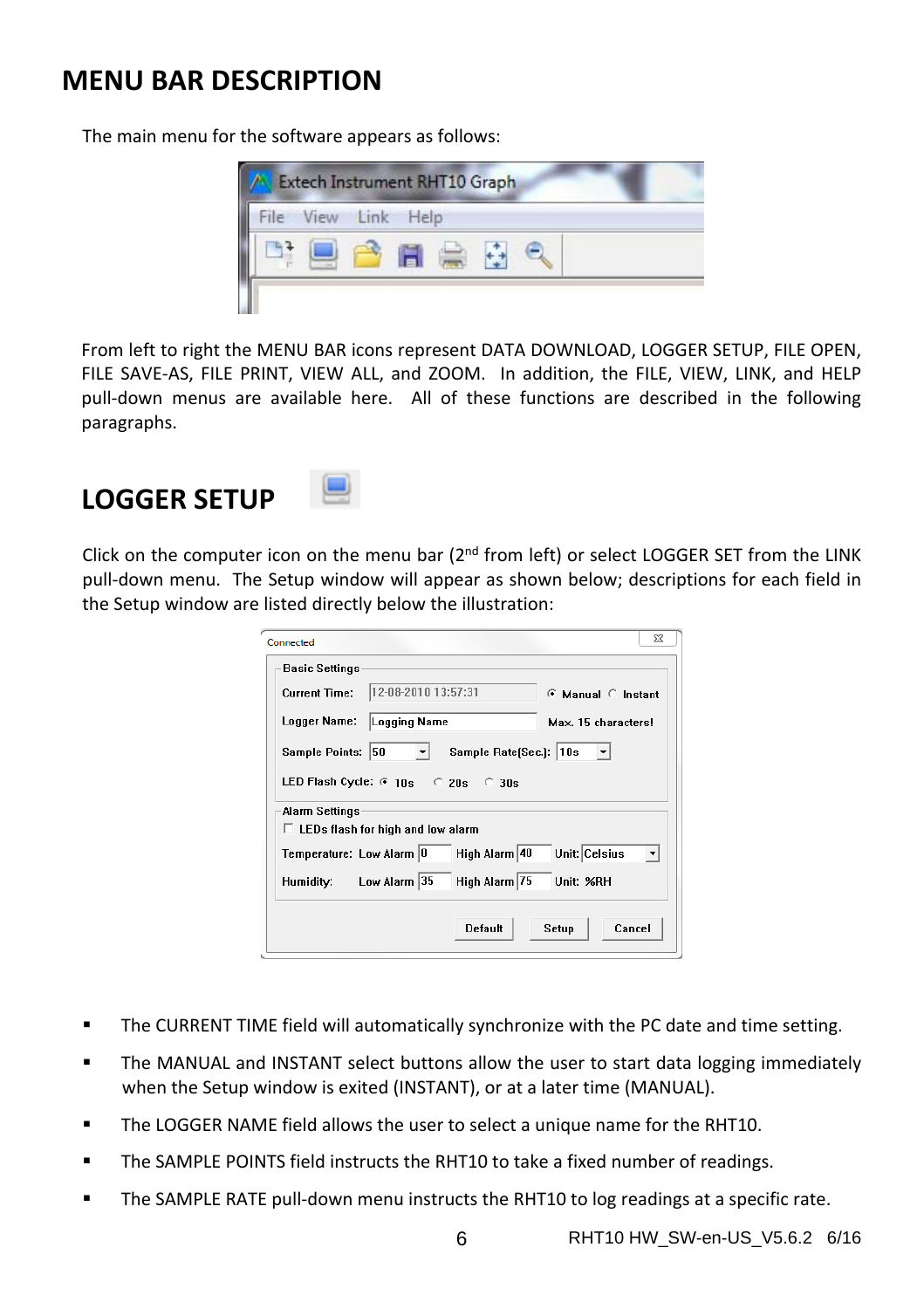### **MENU BAR DESCRIPTION**

The main menu for the software appears as follows:



From left to right the MENU BAR icons represent DATA DOWNLOAD, LOGGER SETUP, FILE OPEN, FILE SAVE-AS, FILE PRINT, VIEW ALL, and ZOOM. In addition, the FILE, VIEW, LINK, and HELP pull‐down menus are available here. All of these functions are described in the following paragraphs.

### **LOGGER SETUP**



Click on the computer icon on the menu bar ( $2<sup>nd</sup>$  from left) or select LOGGER SET from the LINK pull‐down menu. The Setup window will appear as shown below; descriptions for each field in the Setup window are listed directly below the illustration:

| Connected                                                     |                                          | Σζ                  |
|---------------------------------------------------------------|------------------------------------------|---------------------|
| <b>Basic Settings</b>                                         |                                          |                     |
| <b>Current Time:</b>                                          | 12-08-2010 13:57:31                      | ⊙ Manual © Instant  |
| Logger Name:                                                  | Logging Name                             | Max. 15 characters! |
| 50<br>Sample Rate(Sec.): 10s<br>Sample Points:                |                                          |                     |
| LED Flash Cycle: $6 \text{ } 10s$ $\degree$ 20s $\degree$ 30s |                                          |                     |
| Alarm Settings                                                |                                          |                     |
|                                                               | $\Box$ LEDs flash for high and low alarm |                     |
| Temperature: Low Alarm 0                                      | High Alarm 40                            | Unit: Celsius       |
| Humidity:                                                     | High Alarm 75<br>Low Alarm 35            | Unit: %RH           |
|                                                               | Default                                  | Cancel<br>Setup     |

- The CURRENT TIME field will automatically synchronize with the PC date and time setting.
- The MANUAL and INSTANT select buttons allow the user to start data logging immediately when the Setup window is exited (INSTANT), or at a later time (MANUAL).
- The LOGGER NAME field allows the user to select a unique name for the RHT10.
- The SAMPLE POINTS field instructs the RHT10 to take a fixed number of readings.
- The SAMPLE RATE pull‐down menu instructs the RHT10 to log readings at a specific rate.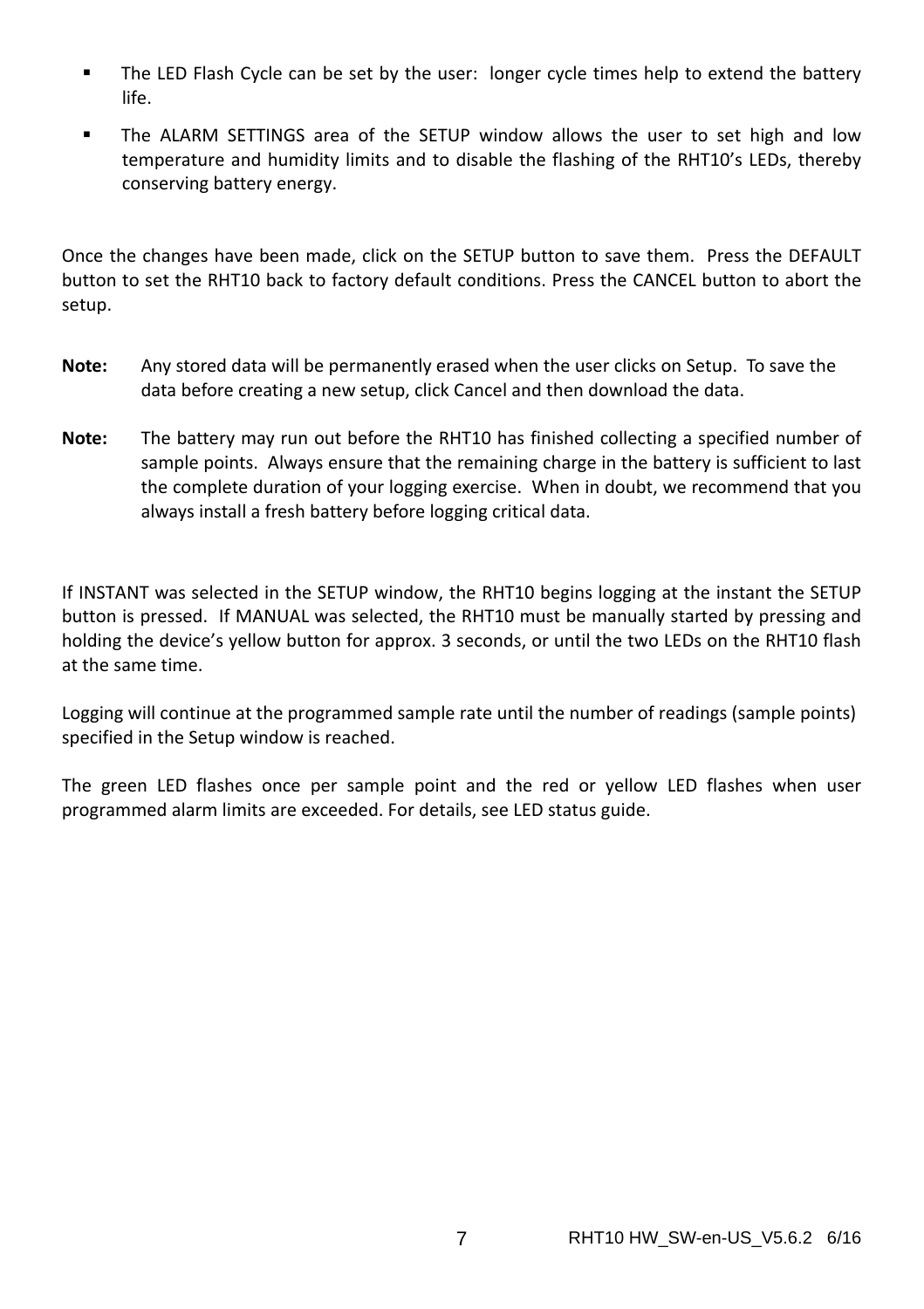- **The LED Flash Cycle can be set by the user: longer cycle times help to extend the battery** life.
- The ALARM SETTINGS area of the SETUP window allows the user to set high and low temperature and humidity limits and to disable the flashing of the RHT10's LEDs, thereby conserving battery energy.

Once the changes have been made, click on the SETUP button to save them. Press the DEFAULT button to set the RHT10 back to factory default conditions. Press the CANCEL button to abort the setup.

- **Note:** Any stored data will be permanently erased when the user clicks on Setup. To save the data before creating a new setup, click Cancel and then download the data.
- **Note:** The battery may run out before the RHT10 has finished collecting a specified number of sample points. Always ensure that the remaining charge in the battery is sufficient to last the complete duration of your logging exercise. When in doubt, we recommend that you always install a fresh battery before logging critical data.

If INSTANT was selected in the SETUP window, the RHT10 begins logging at the instant the SETUP button is pressed. If MANUAL was selected, the RHT10 must be manually started by pressing and holding the device's yellow button for approx. 3 seconds, or until the two LEDs on the RHT10 flash at the same time.

Logging will continue at the programmed sample rate until the number of readings (sample points) specified in the Setup window is reached.

The green LED flashes once per sample point and the red or yellow LED flashes when user programmed alarm limits are exceeded. For details, see LED status guide.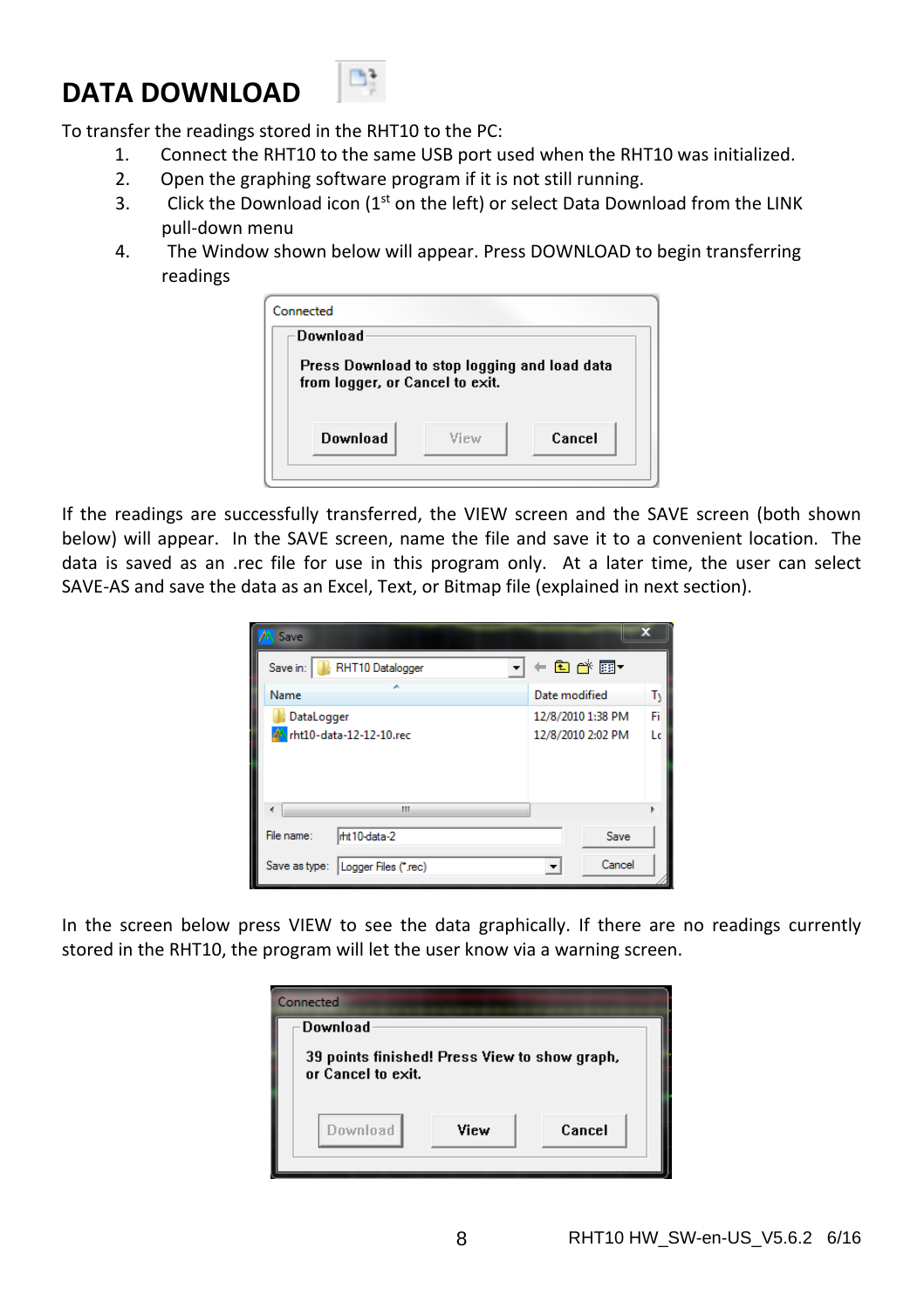# **DATA DOWNLOAD**



To transfer the readings stored in the RHT10 to the PC:

- 1. Connect the RHT10 to the same USB port used when the RHT10 was initialized.
- 2. Open the graphing software program if it is not still running.
- 3. Click the Download icon  $(1<sup>st</sup>$  on the left) or select Data Download from the LINK pull‐down menu
- 4. The Window shown below will appear. Press DOWNLOAD to begin transferring readings

| Download                                                                        |  |  |
|---------------------------------------------------------------------------------|--|--|
| Press Download to stop logging and load data<br>from logger, or Cancel to exit. |  |  |
|                                                                                 |  |  |

If the readings are successfully transferred, the VIEW screen and the SAVE screen (both shown below) will appear. In the SAVE screen, name the file and save it to a convenient location. The data is saved as an .rec file for use in this program only. At a later time, the user can select SAVE‐AS and save the data as an Excel, Text, or Bitmap file (explained in next section).

| Save                                  | x                       |
|---------------------------------------|-------------------------|
| RHT10 Datalogger<br>Save in:          | ←■■●■▼                  |
| Name                                  | Date modified<br>T      |
| DataLogger                            | Fi<br>12/8/2010 1:38 PM |
| <b>A</b> rht10-data-12-12-10.rec      | 12/8/2010 2:02 PM<br>Lc |
| Ш                                     |                         |
| File name:<br>mt 10-data-2            | Save                    |
| Save as type:<br>Logger Files (*.rec) | Cancel                  |

In the screen below press VIEW to see the data graphically. If there are no readings currently stored in the RHT10, the program will let the user know via a warning screen.

| Connected                                                           |      |        |
|---------------------------------------------------------------------|------|--------|
| Download                                                            |      |        |
| 39 points finished! Press View to show graph,<br>or Cancel to exit. |      |        |
| Download                                                            | View | Cancel |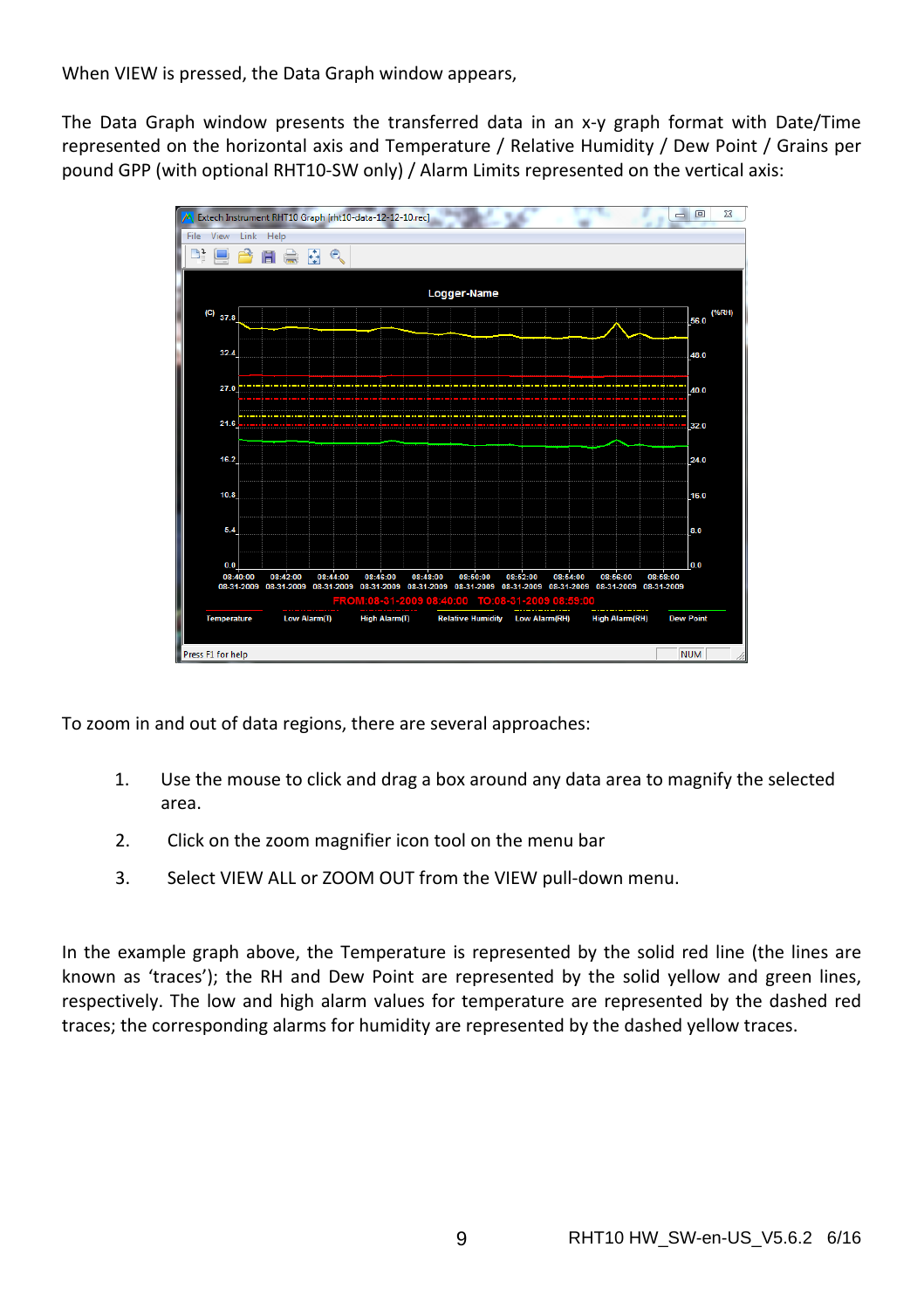When VIEW is pressed, the Data Graph window appears,

The Data Graph window presents the transferred data in an x-y graph format with Date/Time represented on the horizontal axis and Temperature / Relative Humidity / Dew Point / Grains per pound GPP (with optional RHT10‐SW only) / Alarm Limits represented on the vertical axis:



To zoom in and out of data regions, there are several approaches:

- 1. Use the mouse to click and drag a box around any data area to magnify the selected area.
- 2. Click on the zoom magnifier icon tool on the menu bar
- 3. Select VIEW ALL or ZOOM OUT from the VIEW pull‐down menu.

In the example graph above, the Temperature is represented by the solid red line (the lines are known as 'traces'); the RH and Dew Point are represented by the solid yellow and green lines, respectively. The low and high alarm values for temperature are represented by the dashed red traces; the corresponding alarms for humidity are represented by the dashed yellow traces.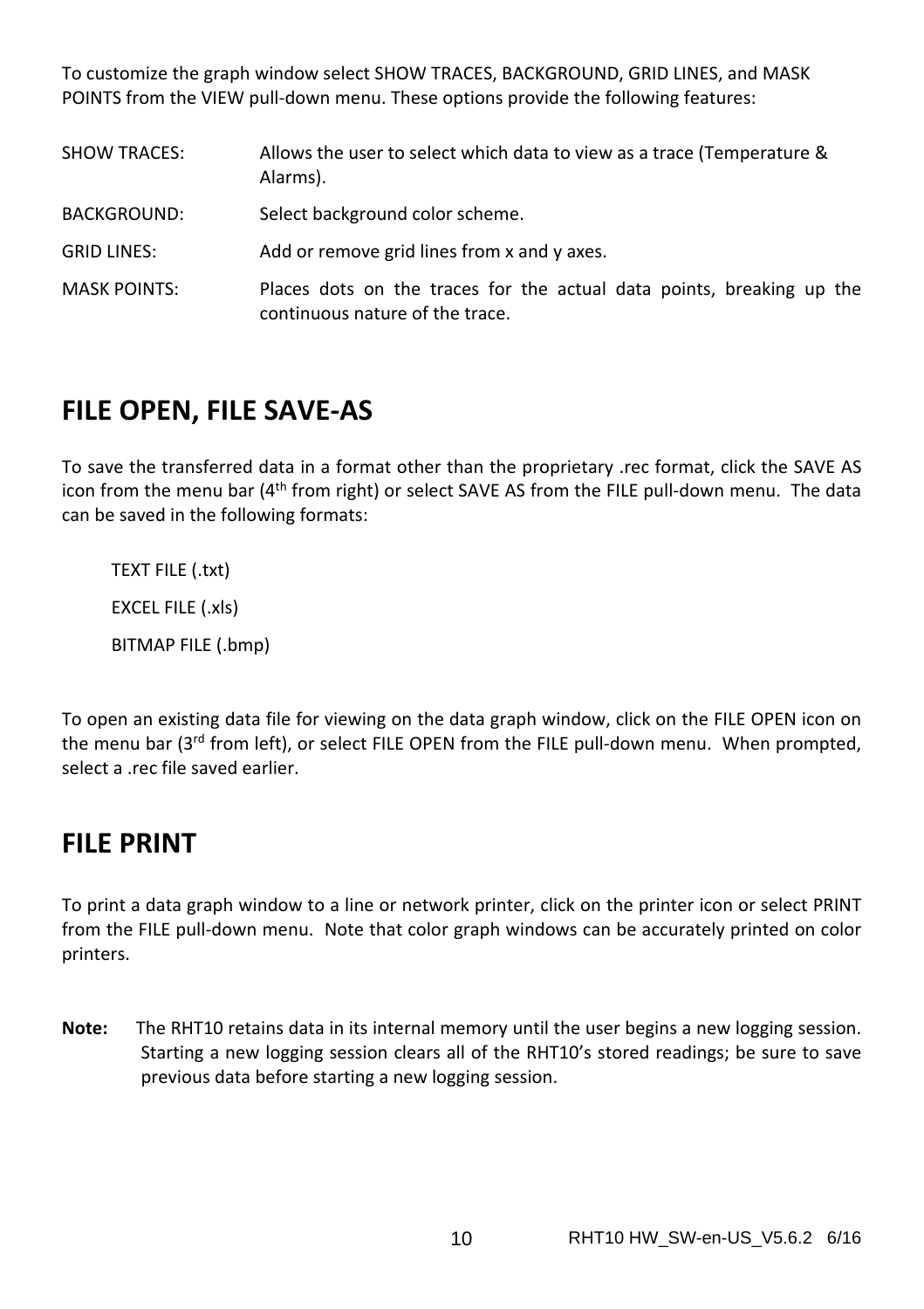To customize the graph window select SHOW TRACES, BACKGROUND, GRID LINES, and MASK POINTS from the VIEW pull-down menu. These options provide the following features:

| <b>SHOW TRACES:</b> | Allows the user to select which data to view as a trace (Temperature &<br>Alarms).                       |
|---------------------|----------------------------------------------------------------------------------------------------------|
| <b>BACKGROUND:</b>  | Select background color scheme.                                                                          |
| <b>GRID LINES:</b>  | Add or remove grid lines from x and y axes.                                                              |
| <b>MASK POINTS:</b> | Places dots on the traces for the actual data points, breaking up the<br>continuous nature of the trace. |

#### **FILE OPEN, FILE SAVE‐AS**

To save the transferred data in a format other than the proprietary .rec format, click the SAVE AS icon from the menu bar (4<sup>th</sup> from right) or select SAVE AS from the FILE pull-down menu. The data can be saved in the following formats:

TEXT FILE (.txt) EXCEL FILE (.xls) BITMAP FILE (.bmp)

To open an existing data file for viewing on the data graph window, click on the FILE OPEN icon on the menu bar ( $3^{rd}$  from left), or select FILE OPEN from the FILE pull-down menu. When prompted, select a .rec file saved earlier.

#### **FILE PRINT**

To print a data graph window to a line or network printer, click on the printer icon or select PRINT from the FILE pull-down menu. Note that color graph windows can be accurately printed on color printers.

**Note:** The RHT10 retains data in its internal memory until the user begins a new logging session. Starting a new logging session clears all of the RHT10's stored readings; be sure to save previous data before starting a new logging session.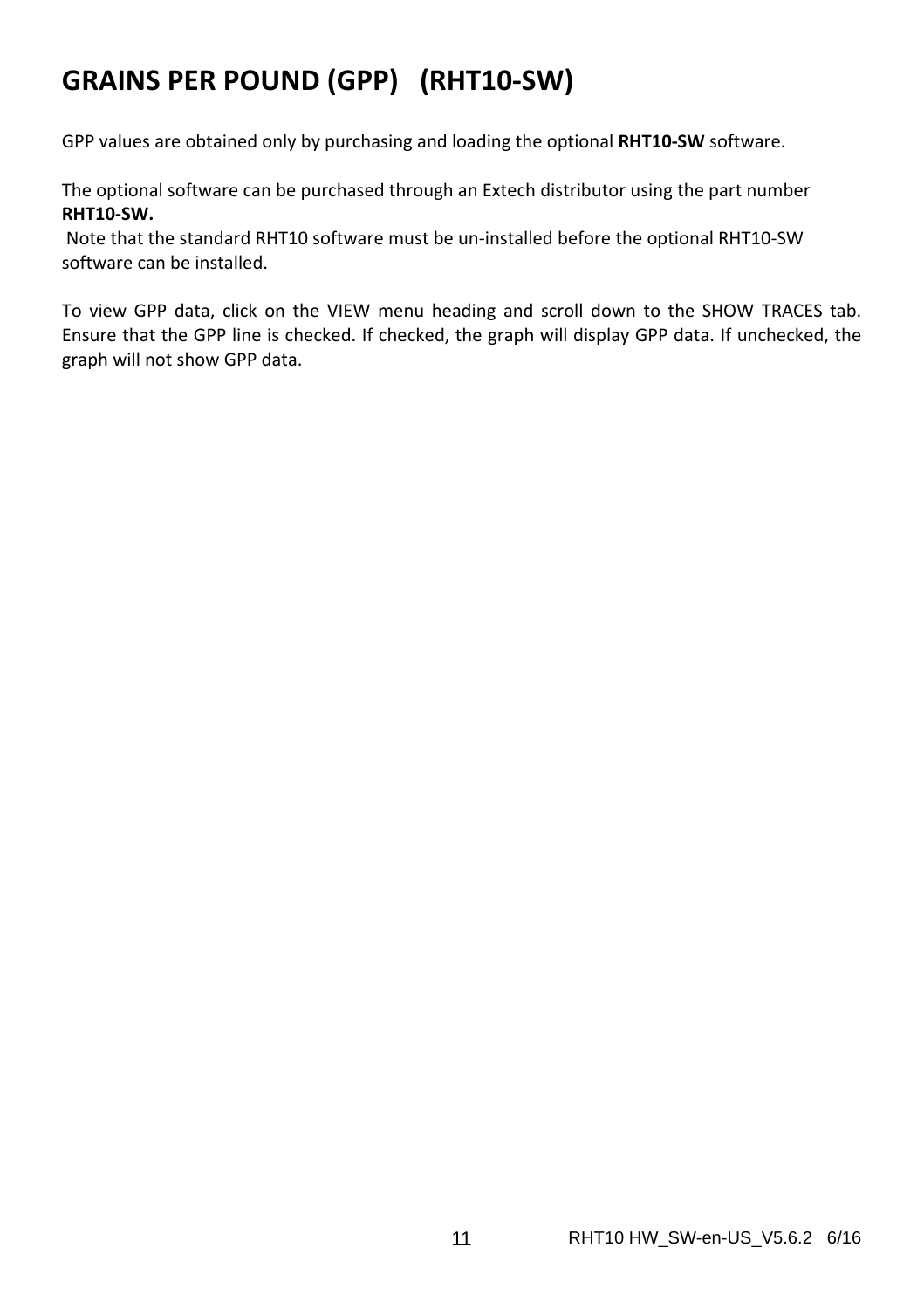# **GRAINS PER POUND (GPP) (RHT10‐SW)**

GPP values are obtained only by purchasing and loading the optional **RHT10‐SW** software.

The optional software can be purchased through an Extech distributor using the part number **RHT10‐SW.**

Note that the standard RHT10 software must be un‐installed before the optional RHT10‐SW software can be installed.

To view GPP data, click on the VIEW menu heading and scroll down to the SHOW TRACES tab. Ensure that the GPP line is checked. If checked, the graph will display GPP data. If unchecked, the graph will not show GPP data.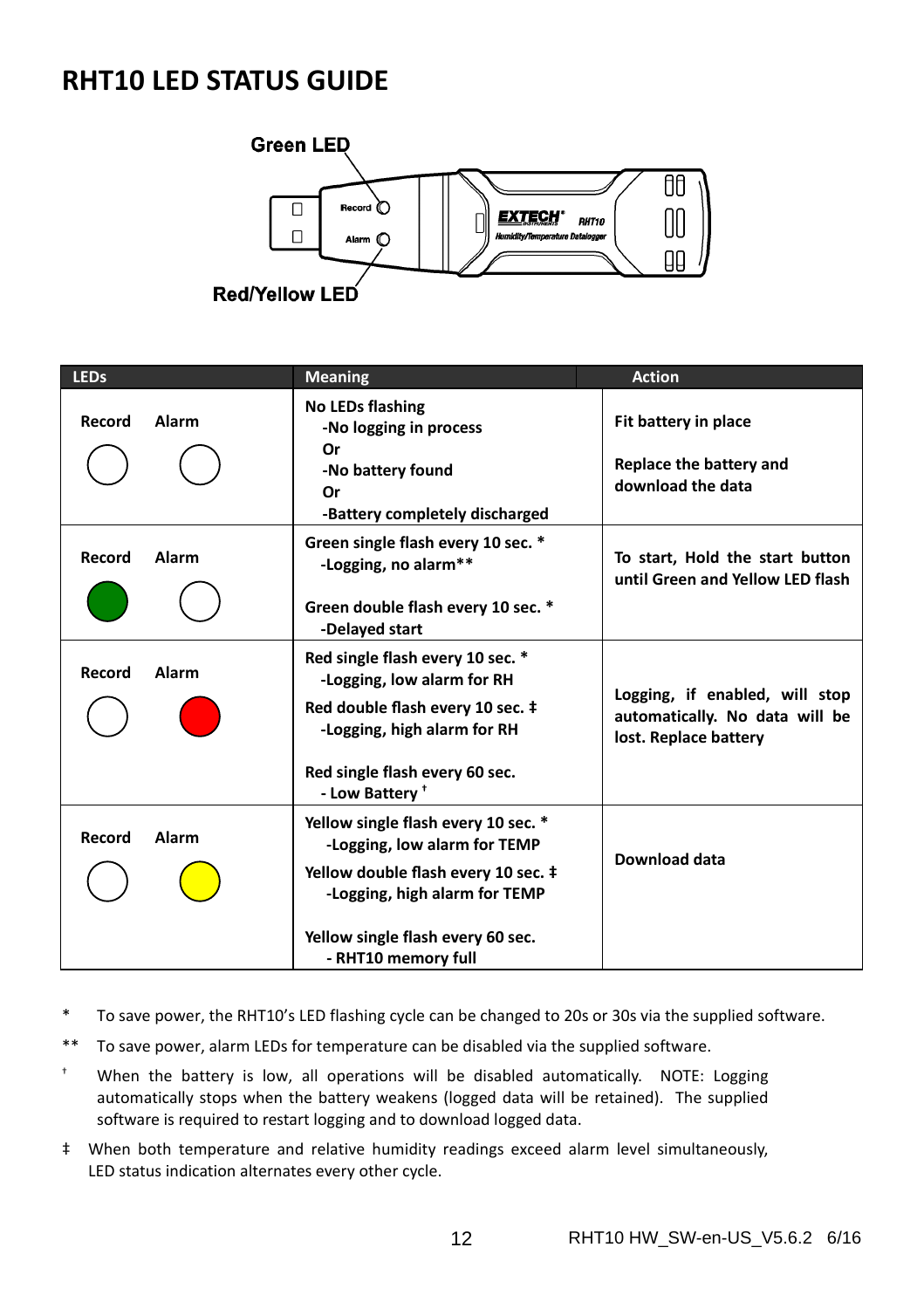#### **RHT10 LED STATUS GUIDE**



| <b>LEDs</b> |              | <b>Meaning</b>                                                                                                                                                                                          | <b>Action</b>                                                                             |
|-------------|--------------|---------------------------------------------------------------------------------------------------------------------------------------------------------------------------------------------------------|-------------------------------------------------------------------------------------------|
| Record      | Alarm        | No LEDs flashing<br>-No logging in process<br>Or<br>-No battery found<br>Or                                                                                                                             | Fit battery in place<br>Replace the battery and<br>download the data                      |
| Record      | Alarm        | -Battery completely discharged<br>Green single flash every 10 sec. *<br>-Logging, no alarm**<br>Green double flash every 10 sec. *<br>-Delayed start                                                    | To start, Hold the start button<br>until Green and Yellow LED flash                       |
| Record      | <b>Alarm</b> | Red single flash every 10 sec. *<br>-Logging, low alarm for RH<br>Red double flash every 10 sec. ‡<br>-Logging, high alarm for RH<br>Red single flash every 60 sec.<br>- Low Battery <sup>+</sup>       | Logging, if enabled, will stop<br>automatically. No data will be<br>lost. Replace battery |
| Record      | <b>Alarm</b> | Yellow single flash every 10 sec. *<br>-Logging, low alarm for TEMP<br>Yellow double flash every 10 sec. ‡<br>-Logging, high alarm for TEMP<br>Yellow single flash every 60 sec.<br>- RHT10 memory full | Download data                                                                             |

- \* To save power, the RHT10's LED flashing cycle can be changed to 20s or 30s via the supplied software.
- \*\* To save power, alarm LEDs for temperature can be disabled via the supplied software.
- $^+$  When the battery is low, all operations will be disabled automatically. NOTE: Logging automatically stops when the battery weakens (logged data will be retained). The supplied software is required to restart logging and to download logged data.
- ‡ When both temperature and relative humidity readings exceed alarm level simultaneously, LED status indication alternates every other cycle.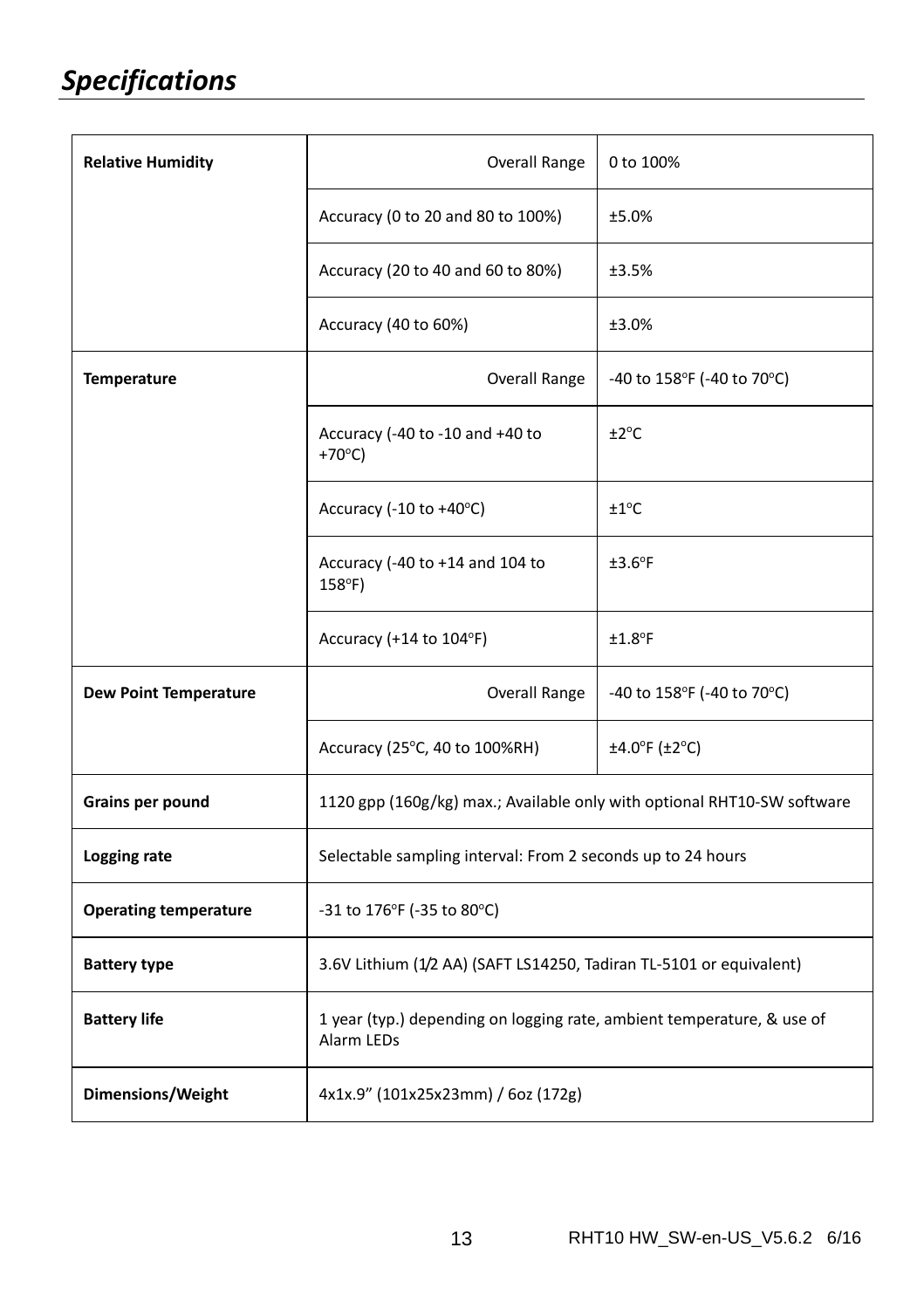| <b>Relative Humidity</b>     | <b>Overall Range</b>                                                                 | 0 to 100%                  |  |
|------------------------------|--------------------------------------------------------------------------------------|----------------------------|--|
|                              | Accuracy (0 to 20 and 80 to 100%)                                                    | ±5.0%                      |  |
|                              | Accuracy (20 to 40 and 60 to 80%)                                                    | ±3.5%                      |  |
|                              | Accuracy (40 to 60%)                                                                 | ±3.0%                      |  |
| <b>Temperature</b>           | <b>Overall Range</b>                                                                 | -40 to 158°F (-40 to 70°C) |  |
|                              | Accuracy (-40 to -10 and +40 to<br>$+70^{\circ}$ C)                                  | ±2°C                       |  |
|                              | Accuracy (-10 to +40°C)                                                              | $±1^{\circ}C$              |  |
|                              | Accuracy (-40 to +14 and 104 to<br>$158^{\circ}$ F)                                  | $±3.6^{\circ}F$            |  |
|                              | Accuracy (+14 to 104°F)                                                              | $±1.8$ °F                  |  |
| <b>Dew Point Temperature</b> | <b>Overall Range</b>                                                                 | -40 to 158°F (-40 to 70°C) |  |
|                              | Accuracy (25°C, 40 to 100%RH)                                                        | $\pm 4.0$ °F ( $\pm 2$ °C) |  |
| Grains per pound             | 1120 gpp (160g/kg) max.; Available only with optional RHT10-SW software              |                            |  |
| Logging rate                 | Selectable sampling interval: From 2 seconds up to 24 hours                          |                            |  |
| <b>Operating temperature</b> | -31 to 176°F (-35 to 80°C)                                                           |                            |  |
| <b>Battery type</b>          | 3.6V Lithium (1/2 AA) (SAFT LS14250, Tadiran TL-5101 or equivalent)                  |                            |  |
| <b>Battery life</b>          | 1 year (typ.) depending on logging rate, ambient temperature, & use of<br>Alarm LEDs |                            |  |
| Dimensions/Weight            | 4x1x.9" (101x25x23mm) / 6oz (172g)                                                   |                            |  |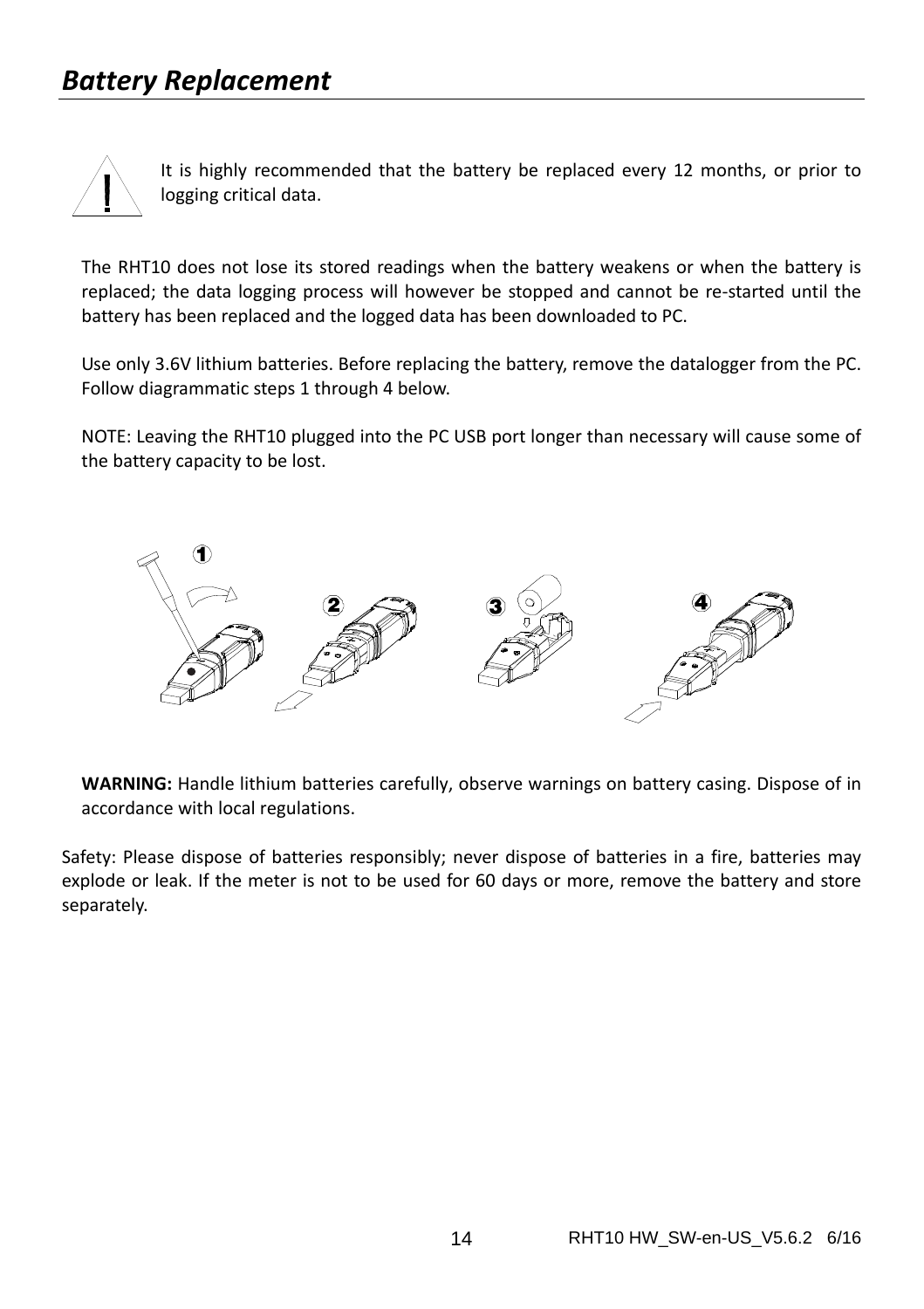

It is highly recommended that the battery be replaced every 12 months, or prior to logging critical data.

The RHT10 does not lose its stored readings when the battery weakens or when the battery is replaced; the data logging process will however be stopped and cannot be re‐started until the battery has been replaced and the logged data has been downloaded to PC.

Use only 3.6V lithium batteries. Before replacing the battery, remove the datalogger from the PC. Follow diagrammatic steps 1 through 4 below.

NOTE: Leaving the RHT10 plugged into the PC USB port longer than necessary will cause some of the battery capacity to be lost.



**WARNING:** Handle lithium batteries carefully, observe warnings on battery casing. Dispose of in accordance with local regulations.

Safety: Please dispose of batteries responsibly; never dispose of batteries in a fire, batteries may explode or leak. If the meter is not to be used for 60 days or more, remove the battery and store separately.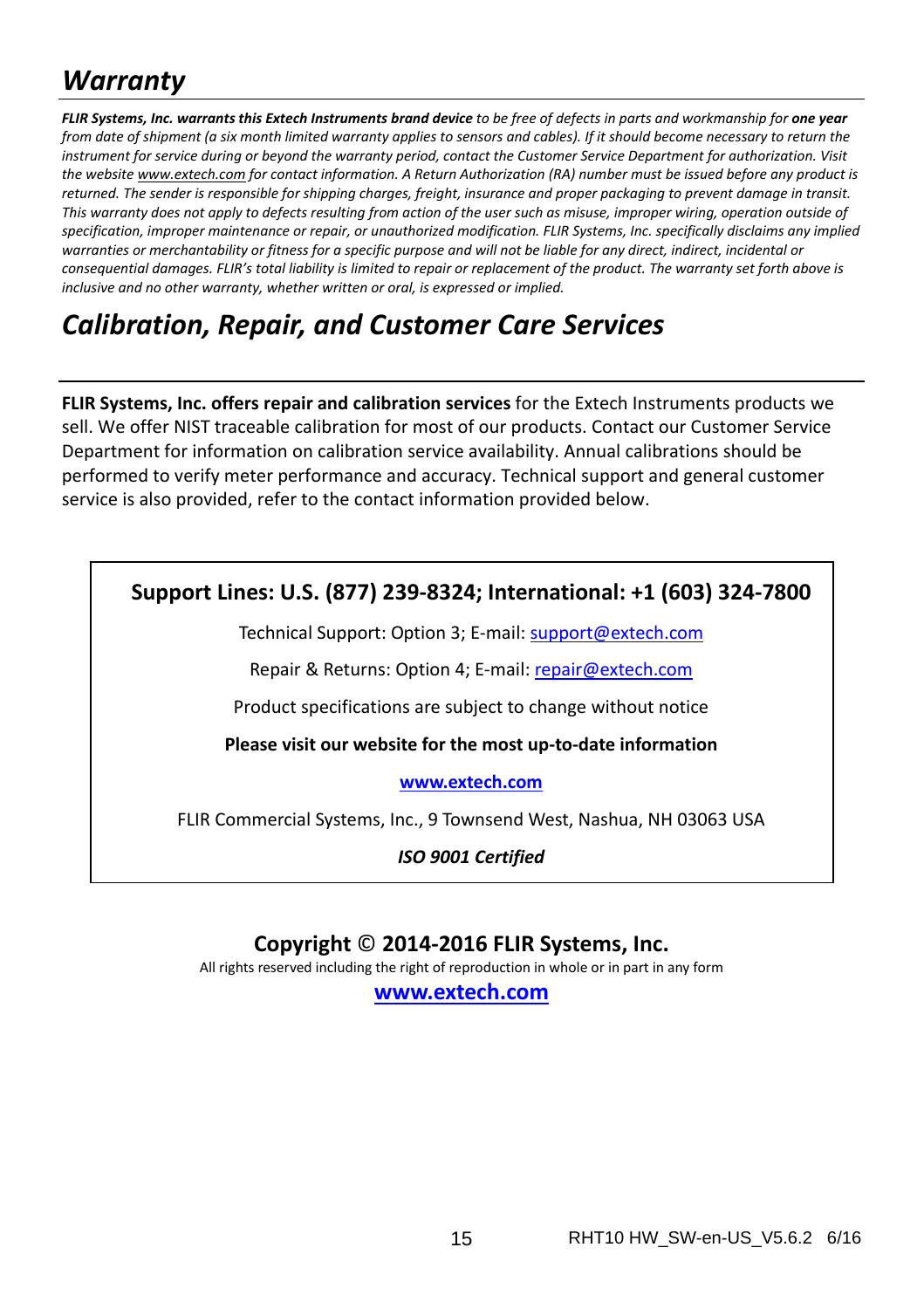# *Warranty*

FLIR Systems, Inc. warrants this Extech Instruments brand device to be free of defects in parts and workmanship for one year from date of shipment (a six month limited warranty applies to sensors and cables). If it should become necessary to return the instrument for service during or beyond the warranty period, contact the Customer Service Department for authorization. Visit the website www.extech.com for contact information. A Return Authorization (RA) number must be issued before any product is returned. The sender is responsible for shipping charges, freight, insurance and proper packaging to prevent damage in transit. This warranty does not apply to defects resulting from action of the user such as misuse, improper wiring, operation outside of specification, improper maintenance or repair, or unauthorized modification. FLIR Systems, Inc. specifically disclaims any implied warranties or merchantability or fitness for a specific purpose and will not be liable for any direct, indirect, incidental or consequential damages. FLIR's total liability is limited to repair or replacement of the product. The warranty set forth above is *inclusive and no other warranty, whether written or oral, is expressed or implied.*

# *Calibration, Repair, and Customer Care Services*

**FLIR Systems, Inc. offers repair and calibration services** for the Extech Instruments products we sell. We offer NIST traceable calibration for most of our products. Contact our Customer Service Department for information on calibration service availability. Annual calibrations should be performed to verify meter performance and accuracy. Technical support and general customer service is also provided, refer to the contact information provided below.

#### **Support Lines: U.S. (877) 239‐8324; International: +1 (603) 324‐7800**

Technical Support: Option 3; E‐mail: support@extech.com

Repair & Returns: Option 4; E‐mail: repair@extech.com

Product specifications are subject to change without notice

**Please visit our website for the most up‐to‐date information**

**www.extech.com**

FLIR Commercial Systems, Inc., 9 Townsend West, Nashua, NH 03063 USA

*ISO 9001 Certified*

#### **Copyright** © **2014‐2016 FLIR Systems, Inc.**

All rights reserved including the right of reproduction in whole or in part in any form

**www.extech.com**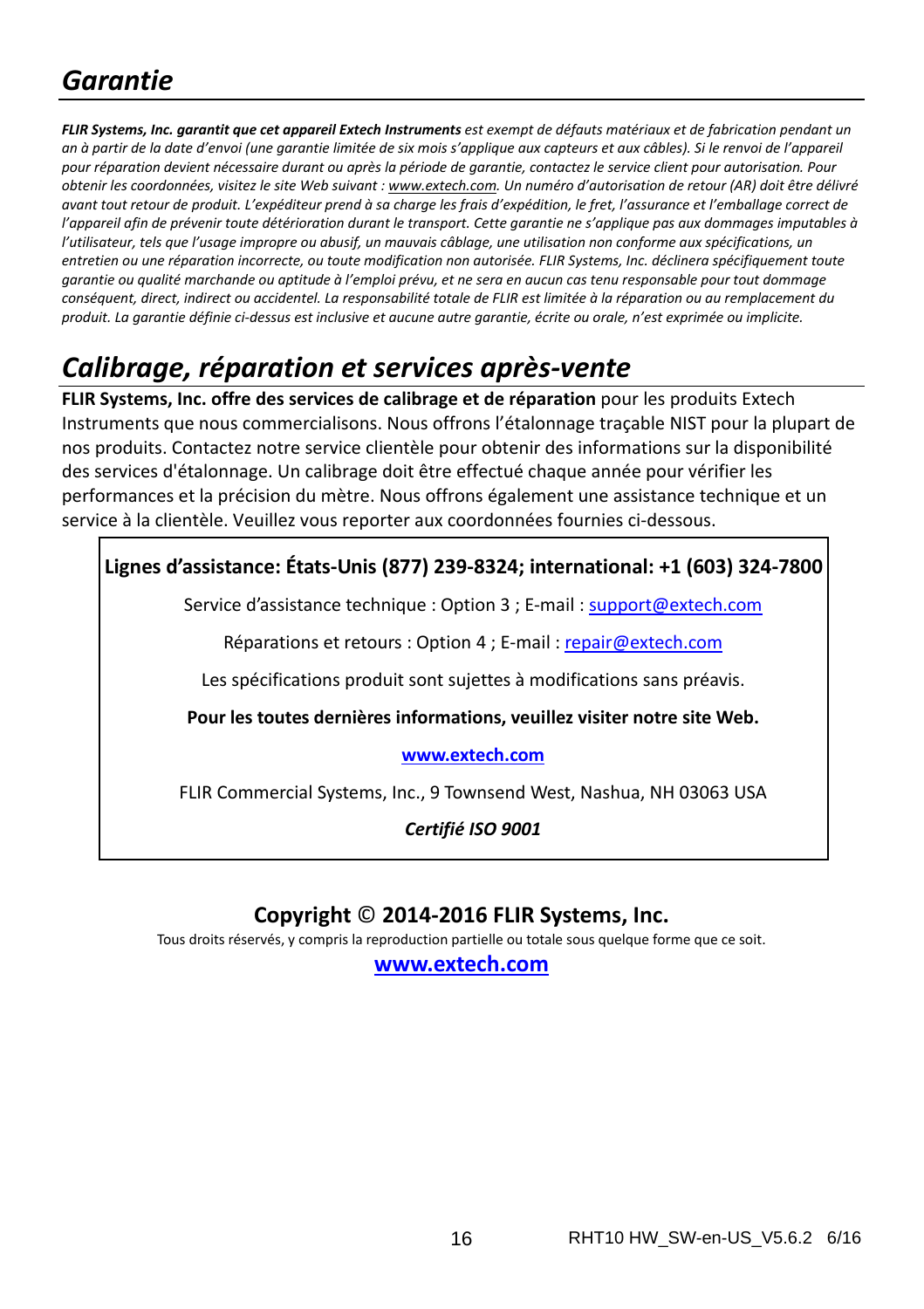# *Garantie*

FLIR Systems, Inc. garantit que cet appareil Extech Instruments est exempt de défauts matériaux et de fabrication pendant un an à partir de la date d'envoi (une garantie limitée de six mois s'applique aux capteurs et aux câbles). Si le renvoi de l'appareil pour réparation devient nécessaire durant ou après la période de garantie, contactez le service client pour autorisation. Pour obtenir les coordonnées, visitez le site Web suivant : www.extech.com. Un numéro d'autorisation de retour (AR) doit être délivré avant tout retour de produit. L'expéditeur prend à sa charge les frais d'expédition, le fret, l'assurance et l'emballage correct de l'appareil afin de prévenir toute détérioration durant le transport. Cette garantie ne s'applique pas aux dommages imputables à l'utilisateur, tels que l'usage impropre ou abusif, un mauvais câblage, une utilisation non conforme aux spécifications, un entretien ou une réparation incorrecte, ou toute modification non autorisée. FLIR Systems, Inc. déclinera spécifiquement toute garantie ou qualité marchande ou aptitude à l'emploi prévu, et ne sera en aucun cas tenu responsable pour tout dommage conséquent, direct, indirect ou accidentel. La responsabilité totale de FLIR est limitée à la réparation ou au remplacement du produit. La garantie définie ci-dessus est inclusive et aucune autre garantie, écrite ou orale, n'est exprimée ou implicite.

# *Calibrage, réparation et services après‐vente*

**FLIR Systems, Inc. offre des services de calibrage et de réparation** pour les produits Extech Instruments que nous commercialisons. Nous offrons l'étalonnage traçable NIST pour la plupart de nos produits. Contactez notre service clientèle pour obtenir des informations sur la disponibilité des services d'étalonnage. Un calibrage doit être effectué chaque année pour vérifier les performances et la précision du mètre. Nous offrons également une assistance technique et un service à la clientèle. Veuillez vous reporter aux coordonnées fournies ci-dessous.

#### **Lignes d'assistance: États‐Unis (877) 239‐8324; international: +1 (603) 324‐7800**

Service d'assistance technique : Option 3 ; E‐mail : support@extech.com

Réparations et retours : Option 4 ; E-mail : repair@extech.com

Les spécifications produit sont sujettes à modifications sans préavis.

**Pour les toutes dernières informations, veuillez visiter notre site Web.**

#### **www.extech.com**

FLIR Commercial Systems, Inc., 9 Townsend West, Nashua, NH 03063 USA

*Certifié ISO 9001*

#### **Copyright** © **2014‐2016 FLIR Systems, Inc.**

Tous droits réservés, y compris la reproduction partielle ou totale sous quelque forme que ce soit.

**www.extech.com**